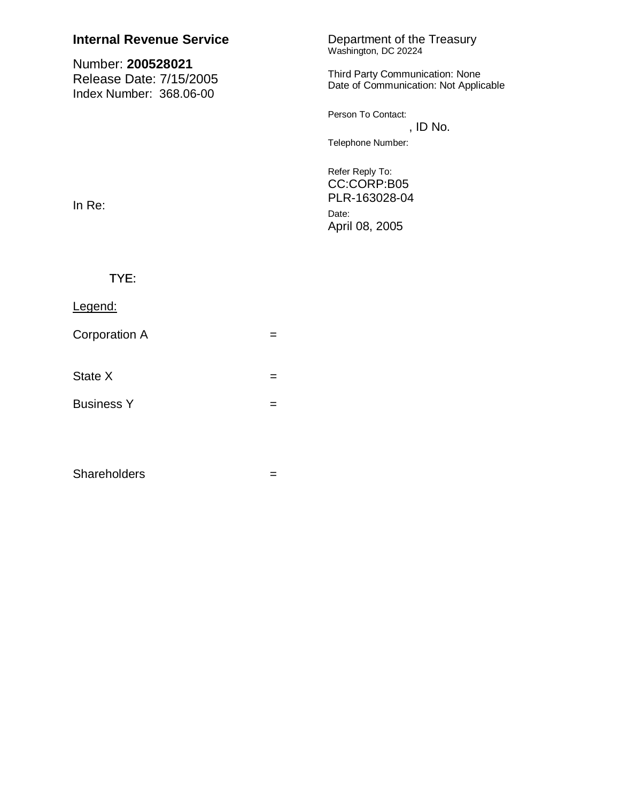| <b>Internal Revenue Service</b>                                         | Department of the Treasury<br>Washington, DC 20224                              |
|-------------------------------------------------------------------------|---------------------------------------------------------------------------------|
| Number: 200528021<br>Release Date: 7/15/2005<br>Index Number: 368.06-00 | <b>Third Party Communication: None</b><br>Date of Communication: Not Applicable |
|                                                                         | Person To Contact:<br>, ID No.                                                  |
|                                                                         | Telephone Number:                                                               |
| In $Re:$                                                                | Refer Reply To:<br>CC:CORP:B05<br>PLR-163028-04                                 |
|                                                                         | Date:<br>April 08, 2005                                                         |
|                                                                         |                                                                                 |

 $\equiv$ 

 $\equiv$ 

 $=$ 

 $\equiv$ 

TYE:

Legend:

State X

**Business Y** 

Shareholders

Corporation A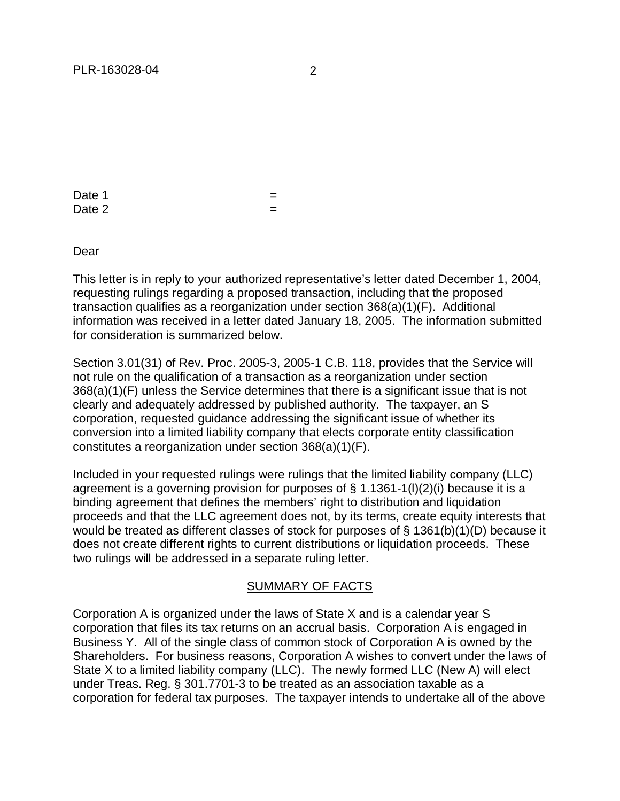Date 1  $=$ Date 2  $=$ 

Dear

This letter is in reply to your authorized representative's letter dated December 1, 2004, requesting rulings regarding a proposed transaction, including that the proposed transaction qualifies as a reorganization under section 368(a)(1)(F). Additional information was received in a letter dated January 18, 2005. The information submitted for consideration is summarized below.

Section 3.01(31) of Rev. Proc. 2005-3, 2005-1 C.B. 118, provides that the Service will not rule on the qualification of a transaction as a reorganization under section 368(a)(1)(F) unless the Service determines that there is a significant issue that is not clearly and adequately addressed by published authority. The taxpayer, an S corporation, requested guidance addressing the significant issue of whether its conversion into a limited liability company that elects corporate entity classification constitutes a reorganization under section 368(a)(1)(F).

Included in your requested rulings were rulings that the limited liability company (LLC) agreement is a governing provision for purposes of  $\S$  1.1361-1(l)(2)(i) because it is a binding agreement that defines the members' right to distribution and liquidation proceeds and that the LLC agreement does not, by its terms, create equity interests that would be treated as different classes of stock for purposes of § 1361(b)(1)(D) because it does not create different rights to current distributions or liquidation proceeds. These two rulings will be addressed in a separate ruling letter.

## SUMMARY OF FACTS

Corporation A is organized under the laws of State X and is a calendar year S corporation that files its tax returns on an accrual basis. Corporation A is engaged in Business Y. All of the single class of common stock of Corporation A is owned by the Shareholders. For business reasons, Corporation A wishes to convert under the laws of State X to a limited liability company (LLC). The newly formed LLC (New A) will elect under Treas. Reg. § 301.7701-3 to be treated as an association taxable as a corporation for federal tax purposes. The taxpayer intends to undertake all of the above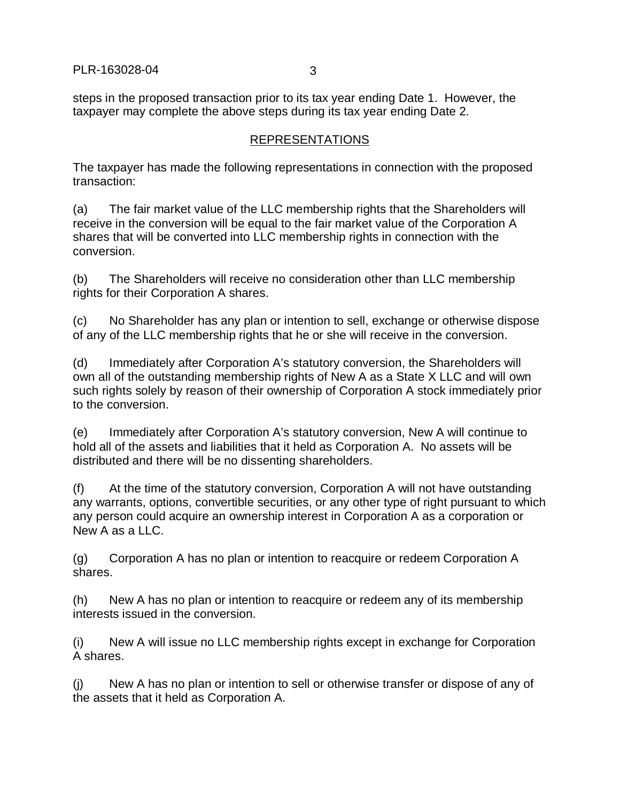steps in the proposed transaction prior to its tax year ending Date 1. However, the taxpayer may complete the above steps during its tax year ending Date 2.

## REPRESENTATIONS

The taxpayer has made the following representations in connection with the proposed transaction:

(a) The fair market value of the LLC membership rights that the Shareholders will receive in the conversion will be equal to the fair market value of the Corporation A shares that will be converted into LLC membership rights in connection with the conversion.

(b) The Shareholders will receive no consideration other than LLC membership rights for their Corporation A shares.

(c) No Shareholder has any plan or intention to sell, exchange or otherwise dispose of any of the LLC membership rights that he or she will receive in the conversion.

(d) Immediately after Corporation A's statutory conversion, the Shareholders will own all of the outstanding membership rights of New A as a State X LLC and will own such rights solely by reason of their ownership of Corporation A stock immediately prior to the conversion.

(e) Immediately after Corporation A's statutory conversion, New A will continue to hold all of the assets and liabilities that it held as Corporation A. No assets will be distributed and there will be no dissenting shareholders.

(f) At the time of the statutory conversion, Corporation A will not have outstanding any warrants, options, convertible securities, or any other type of right pursuant to which any person could acquire an ownership interest in Corporation A as a corporation or New A as a LLC.

(g) Corporation A has no plan or intention to reacquire or redeem Corporation A shares.

(h) New A has no plan or intention to reacquire or redeem any of its membership interests issued in the conversion.

(i) New A will issue no LLC membership rights except in exchange for Corporation A shares.

(j) New A has no plan or intention to sell or otherwise transfer or dispose of any of the assets that it held as Corporation A.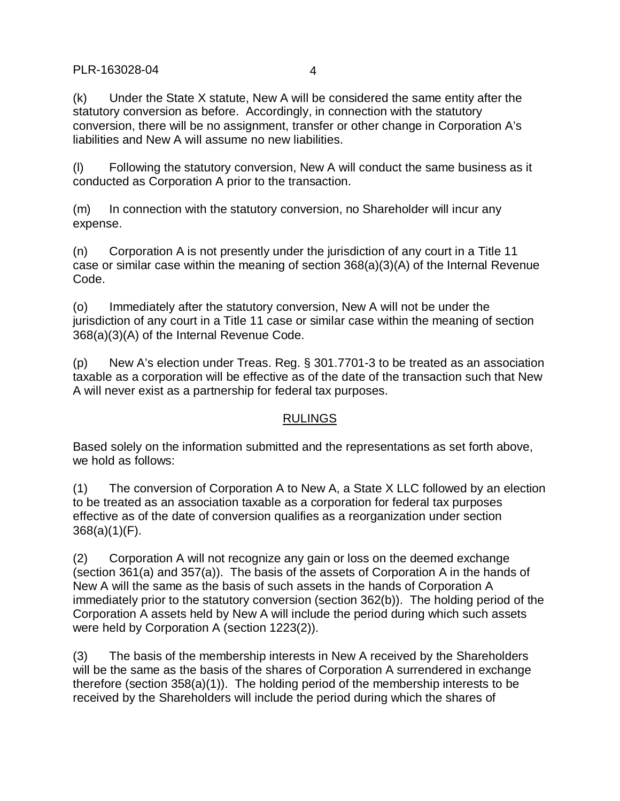PLR-163028-04 4

(k) Under the State X statute, New A will be considered the same entity after the statutory conversion as before. Accordingly, in connection with the statutory conversion, there will be no assignment, transfer or other change in Corporation A's liabilities and New A will assume no new liabilities.

(l) Following the statutory conversion, New A will conduct the same business as it conducted as Corporation A prior to the transaction.

(m) In connection with the statutory conversion, no Shareholder will incur any expense.

(n) Corporation A is not presently under the jurisdiction of any court in a Title 11 case or similar case within the meaning of section 368(a)(3)(A) of the Internal Revenue Code.

(o) Immediately after the statutory conversion, New A will not be under the jurisdiction of any court in a Title 11 case or similar case within the meaning of section 368(a)(3)(A) of the Internal Revenue Code.

(p) New A's election under Treas. Reg. § 301.7701-3 to be treated as an association taxable as a corporation will be effective as of the date of the transaction such that New A will never exist as a partnership for federal tax purposes.

## RULINGS

Based solely on the information submitted and the representations as set forth above, we hold as follows:

(1) The conversion of Corporation A to New A, a State X LLC followed by an election to be treated as an association taxable as a corporation for federal tax purposes effective as of the date of conversion qualifies as a reorganization under section 368(a)(1)(F).

(2) Corporation A will not recognize any gain or loss on the deemed exchange (section 361(a) and 357(a)). The basis of the assets of Corporation A in the hands of New A will the same as the basis of such assets in the hands of Corporation A immediately prior to the statutory conversion (section 362(b)). The holding period of the Corporation A assets held by New A will include the period during which such assets were held by Corporation A (section 1223(2)).

(3) The basis of the membership interests in New A received by the Shareholders will be the same as the basis of the shares of Corporation A surrendered in exchange therefore (section 358(a)(1)). The holding period of the membership interests to be received by the Shareholders will include the period during which the shares of